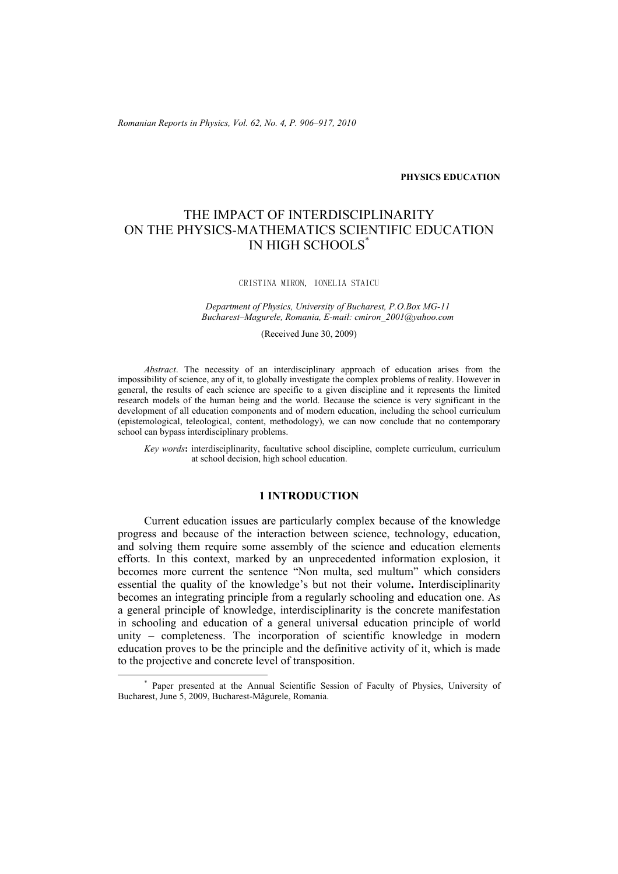*Romanian Reports in Physics, Vol. 62, No. 4, P. 906–917, 2010*

**PHYSICS EDUCATION** 

# THE IMPACT OF INTERDISCIPLINARITY ON THE PHYSICS-MATHEMATICS SCIENTIFIC EDUCATION IN HIGH SCHOOLS\*

CRISTINA MIRON, IONELIA STAICU

*Department of Physics, University of Bucharest, P.O.Box MG-11 Bucharest–Magurele, Romania, E-mail: cmiron\_2001@yahoo.com* 

(Received June 30, 2009)

*Abstract*. The necessity of an interdisciplinary approach of education arises from the impossibility of science, any of it, to globally investigate the complex problems of reality. However in general, the results of each science are specific to a given discipline and it represents the limited research models of the human being and the world. Because the science is very significant in the development of all education components and of modern education, including the school curriculum (epistemological, teleological, content, methodology), we can now conclude that no contemporary school can bypass interdisciplinary problems.

*Key words***:** interdisciplinarity, facultative school discipline, complete curriculum, curriculum at school decision, high school education.

## **1 INTRODUCTION**

Current education issues are particularly complex because of the knowledge progress and because of the interaction between science, technology, education, and solving them require some assembly of the science and education elements efforts. In this context, marked by an unprecedented information explosion, it becomes more current the sentence "Non multa, sed multum" which considers essential the quality of the knowledge's but not their volume**.** Interdisciplinarity becomes an integrating principle from a regularly schooling and education one. As a general principle of knowledge, interdisciplinarity is the concrete manifestation in schooling and education of a general universal education principle of world unity – completeness. The incorporation of scientific knowledge in modern education proves to be the principle and the definitive activity of it, which is made to the projective and concrete level of transposition.

 <sup>\*</sup> Paper presented at the Annual Scientific Session of Faculty of Physics, University of Bucharest, June 5, 2009, Bucharest-Măgurele, Romania.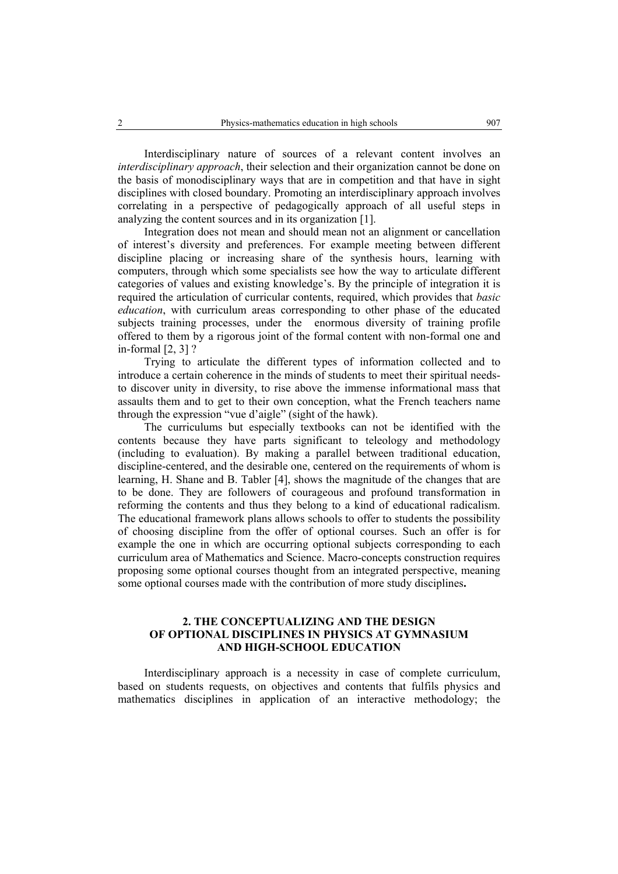Interdisciplinary nature of sources of a relevant content involves an *interdisciplinary approach*, their selection and their organization cannot be done on the basis of monodisciplinary ways that are in competition and that have in sight disciplines with closed boundary. Promoting an interdisciplinary approach involves correlating in a perspective of pedagogically approach of all useful steps in analyzing the content sources and in its organization [1].

Integration does not mean and should mean not an alignment or cancellation of interest's diversity and preferences. For example meeting between different discipline placing or increasing share of the synthesis hours, learning with computers, through which some specialists see how the way to articulate different categories of values and existing knowledge's. By the principle of integration it is required the articulation of curricular contents, required, which provides that *basic education*, with curriculum areas corresponding to other phase of the educated subjects training processes, under the enormous diversity of training profile offered to them by a rigorous joint of the formal content with non-formal one and in-formal [2, 3] ?

Trying to articulate the different types of information collected and to introduce a certain coherence in the minds of students to meet their spiritual needsto discover unity in diversity, to rise above the immense informational mass that assaults them and to get to their own conception, what the French teachers name through the expression "vue d'aigle" (sight of the hawk).

The curriculums but especially textbooks can not be identified with the contents because they have parts significant to teleology and methodology (including to evaluation). By making a parallel between traditional education, discipline-centered, and the desirable one, centered on the requirements of whom is learning, H. Shane and B. Tabler [4], shows the magnitude of the changes that are to be done. They are followers of courageous and profound transformation in reforming the contents and thus they belong to a kind of educational radicalism. The educational framework plans allows schools to offer to students the possibility of choosing discipline from the offer of optional courses. Such an offer is for example the one in which are occurring optional subjects corresponding to each curriculum area of Mathematics and Science. Macro-concepts construction requires proposing some optional courses thought from an integrated perspective, meaning some optional courses made with the contribution of more study disciplines**.** 

# **2. THE CONCEPTUALIZING AND THE DESIGN OF OPTIONAL DISCIPLINES IN PHYSICS AT GYMNASIUM AND HIGH-SCHOOL EDUCATION**

Interdisciplinary approach is a necessity in case of complete curriculum, based on students requests, on objectives and contents that fulfils physics and mathematics disciplines in application of an interactive methodology; the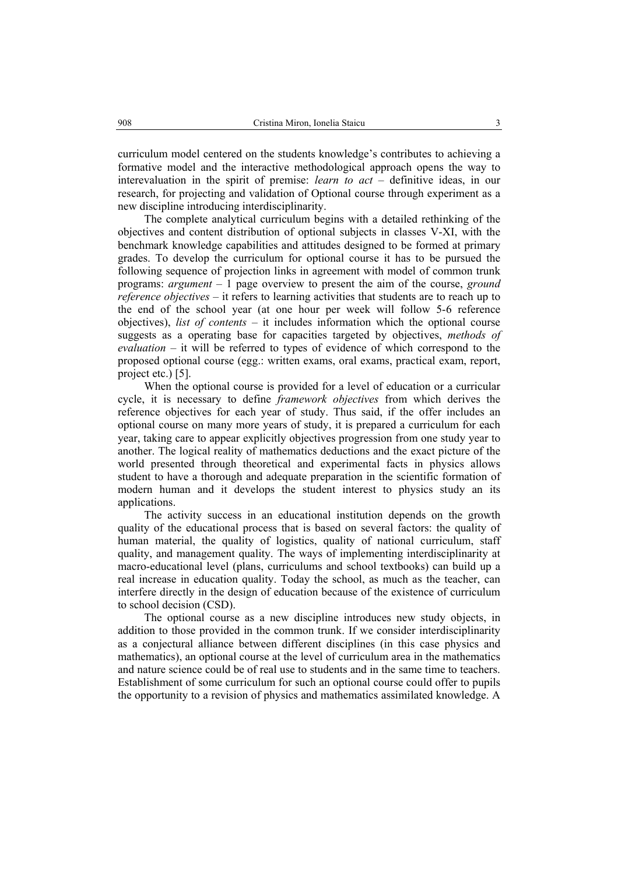curriculum model centered on the students knowledge's contributes to achieving a formative model and the interactive methodological approach opens the way to interevaluation in the spirit of premise: *learn to act* – definitive ideas, in our research, for projecting and validation of Optional course through experiment as a new discipline introducing interdisciplinarity.

The complete analytical curriculum begins with a detailed rethinking of the objectives and content distribution of optional subjects in classes V-XI, with the benchmark knowledge capabilities and attitudes designed to be formed at primary grades. To develop the curriculum for optional course it has to be pursued the following sequence of projection links in agreement with model of common trunk programs: *argument* – 1 page overview to present the aim of the course, *ground reference objectives* – it refers to learning activities that students are to reach up to the end of the school year (at one hour per week will follow 5-6 reference objectives), *list of contents* – it includes information which the optional course suggests as a operating base for capacities targeted by objectives, *methods of evaluation* – it will be referred to types of evidence of which correspond to the proposed optional course (egg.: written exams, oral exams, practical exam, report, project etc.) [5].

When the optional course is provided for a level of education or a curricular cycle, it is necessary to define *framework objectives* from which derives the reference objectives for each year of study. Thus said, if the offer includes an optional course on many more years of study, it is prepared a curriculum for each year, taking care to appear explicitly objectives progression from one study year to another. The logical reality of mathematics deductions and the exact picture of the world presented through theoretical and experimental facts in physics allows student to have a thorough and adequate preparation in the scientific formation of modern human and it develops the student interest to physics study an its applications.

The activity success in an educational institution depends on the growth quality of the educational process that is based on several factors: the quality of human material, the quality of logistics, quality of national curriculum, staff quality, and management quality. The ways of implementing interdisciplinarity at macro-educational level (plans, curriculums and school textbooks) can build up a real increase in education quality. Today the school, as much as the teacher, can interfere directly in the design of education because of the existence of curriculum to school decision (CSD).

The optional course as a new discipline introduces new study objects, in addition to those provided in the common trunk. If we consider interdisciplinarity as a conjectural alliance between different disciplines (in this case physics and mathematics), an optional course at the level of curriculum area in the mathematics and nature science could be of real use to students and in the same time to teachers. Establishment of some curriculum for such an optional course could offer to pupils the opportunity to a revision of physics and mathematics assimilated knowledge. A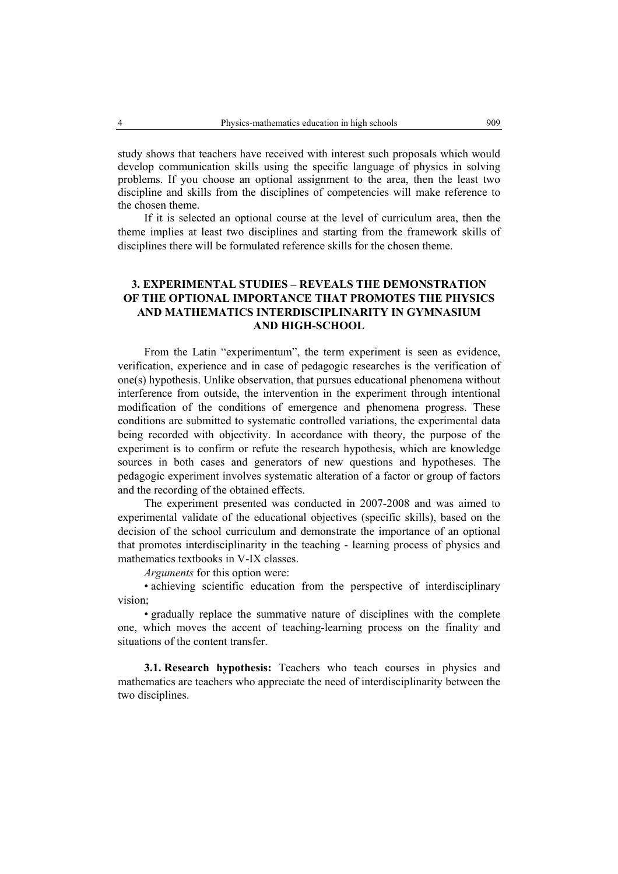study shows that teachers have received with interest such proposals which would develop communication skills using the specific language of physics in solving problems. If you choose an optional assignment to the area, then the least two discipline and skills from the disciplines of competencies will make reference to the chosen theme.

If it is selected an optional course at the level of curriculum area, then the theme implies at least two disciplines and starting from the framework skills of disciplines there will be formulated reference skills for the chosen theme.

# **3. EXPERIMENTAL STUDIES – REVEALS THE DEMONSTRATION OF THE OPTIONAL IMPORTANCE THAT PROMOTES THE PHYSICS AND MATHEMATICS INTERDISCIPLINARITY IN GYMNASIUM AND HIGH-SCHOOL**

From the Latin "experimentum", the term experiment is seen as evidence, verification, experience and in case of pedagogic researches is the verification of one(s) hypothesis. Unlike observation, that pursues educational phenomena without interference from outside, the intervention in the experiment through intentional modification of the conditions of emergence and phenomena progress. These conditions are submitted to systematic controlled variations, the experimental data being recorded with objectivity. In accordance with theory, the purpose of the experiment is to confirm or refute the research hypothesis, which are knowledge sources in both cases and generators of new questions and hypotheses. The pedagogic experiment involves systematic alteration of a factor or group of factors and the recording of the obtained effects.

The experiment presented was conducted in 2007-2008 and was aimed to experimental validate of the educational objectives (specific skills), based on the decision of the school curriculum and demonstrate the importance of an optional that promotes interdisciplinarity in the teaching - learning process of physics and mathematics textbooks in V-IX classes.

*Arguments* for this option were:

• achieving scientific education from the perspective of interdisciplinary vision;

• gradually replace the summative nature of disciplines with the complete one, which moves the accent of teaching-learning process on the finality and situations of the content transfer.

**3.1. Research hypothesis:** Teachers who teach courses in physics and mathematics are teachers who appreciate the need of interdisciplinarity between the two disciplines.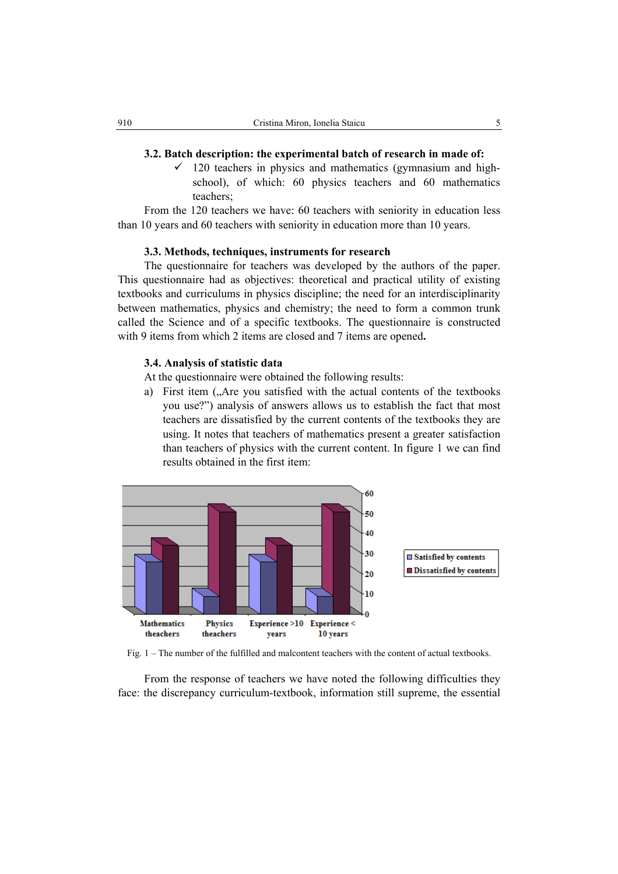#### **3.2. Batch description: the experimental batch of research in made of:**

 $\checkmark$  120 teachers in physics and mathematics (gymnasium and highschool), of which: 60 physics teachers and 60 mathematics teachers;

From the 120 teachers we have: 60 teachers with seniority in education less than 10 years and 60 teachers with seniority in education more than 10 years.

#### **3.3. Methods, techniques, instruments for research**

The questionnaire for teachers was developed by the authors of the paper. This questionnaire had as objectives: theoretical and practical utility of existing textbooks and curriculums in physics discipline; the need for an interdisciplinarity between mathematics, physics and chemistry; the need to form a common trunk called the Science and of a specific textbooks. The questionnaire is constructed with 9 items from which 2 items are closed and 7 items are opened**.** 

#### **3.4. Analysis of statistic data**

At the questionnaire were obtained the following results:

a) First item ("Are you satisfied with the actual contents of the textbooks you use?") analysis of answers allows us to establish the fact that most teachers are dissatisfied by the current contents of the textbooks they are using. It notes that teachers of mathematics present a greater satisfaction than teachers of physics with the current content. In figure 1 we can find results obtained in the first item:



Fig. 1 – The number of the fulfilled and malcontent teachers with the content of actual textbooks.

From the response of teachers we have noted the following difficulties they face: the discrepancy curriculum-textbook, information still supreme, the essential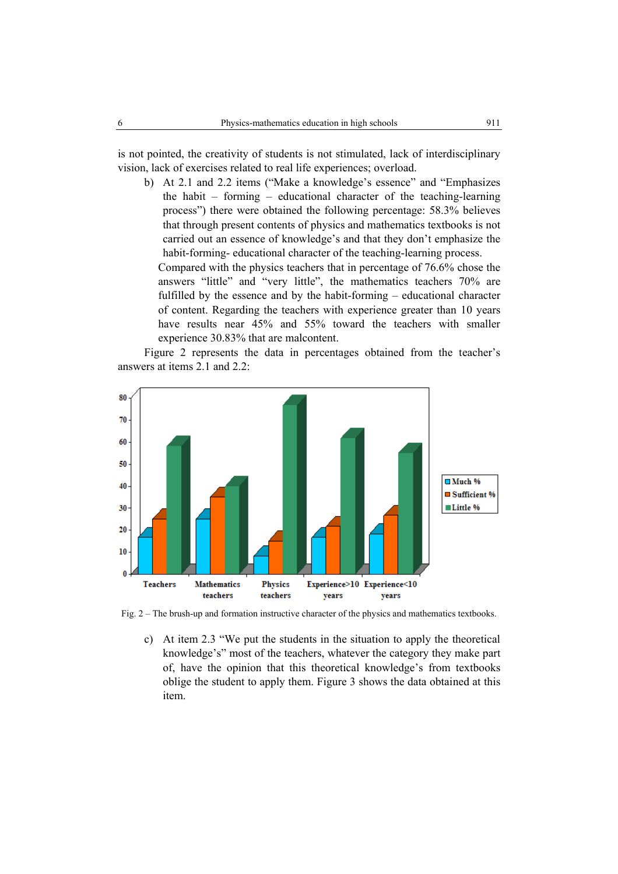is not pointed, the creativity of students is not stimulated, lack of interdisciplinary vision, lack of exercises related to real life experiences; overload.

b) At 2.1 and 2.2 items ("Make a knowledge's essence" and "Emphasizes the habit – forming – educational character of the teaching-learning process") there were obtained the following percentage: 58.3% believes that through present contents of physics and mathematics textbooks is not carried out an essence of knowledge's and that they don't emphasize the habit-forming- educational character of the teaching-learning process.

Compared with the physics teachers that in percentage of 76.6% chose the answers "little" and "very little", the mathematics teachers 70% are fulfilled by the essence and by the habit-forming – educational character of content. Regarding the teachers with experience greater than 10 years have results near 45% and 55% toward the teachers with smaller experience 30.83% that are malcontent.

Figure 2 represents the data in percentages obtained from the teacher's answers at items 2.1 and 2.2:



Fig. 2 – The brush-up and formation instructive character of the physics and mathematics textbooks.

c) At item 2.3 "We put the students in the situation to apply the theoretical knowledge's" most of the teachers, whatever the category they make part of, have the opinion that this theoretical knowledge's from textbooks oblige the student to apply them. Figure 3 shows the data obtained at this item.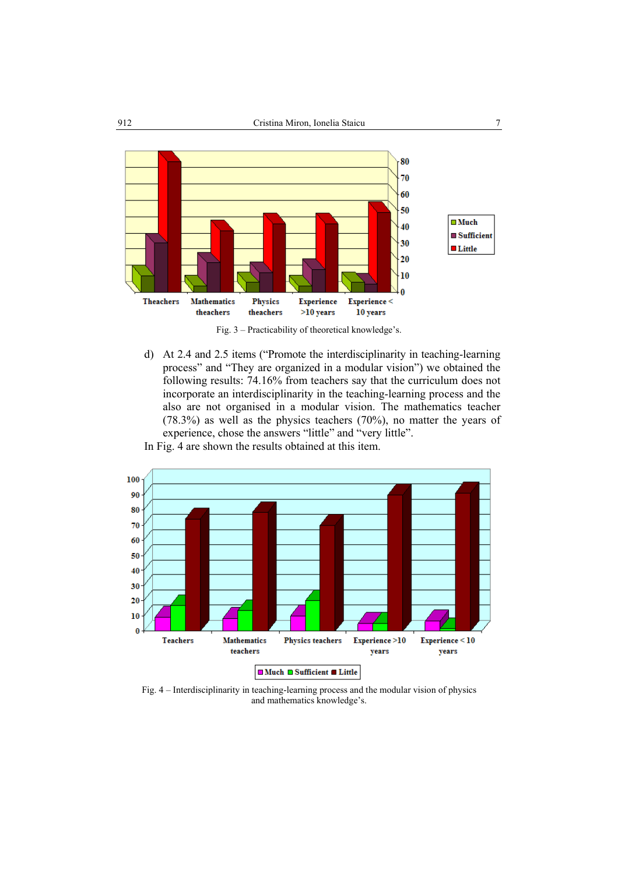

Fig. 3 – Practicability of theoretical knowledge's.

d) At 2.4 and 2.5 items ("Promote the interdisciplinarity in teaching-learning process" and "They are organized in a modular vision") we obtained the following results: 74.16% from teachers say that the curriculum does not incorporate an interdisciplinarity in the teaching-learning process and the also are not organised in a modular vision. The mathematics teacher (78.3%) as well as the physics teachers (70%), no matter the years of experience, chose the answers "little" and "very little".





Fig. 4 – Interdisciplinarity in teaching-learning process and the modular vision of physics and mathematics knowledge's.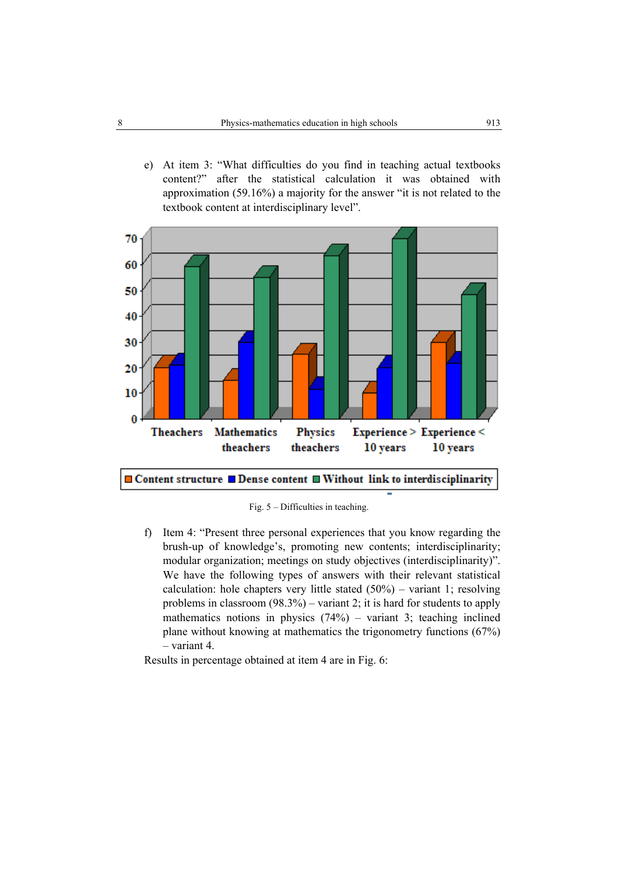e) At item 3: "What difficulties do you find in teaching actual textbooks content?" after the statistical calculation it was obtained with approximation (59.16%) a majority for the answer "it is not related to the textbook content at interdisciplinary level".



Fig. 5 – Difficulties in teaching.

f) Item 4: "Present three personal experiences that you know regarding the brush-up of knowledge's, promoting new contents; interdisciplinarity; modular organization; meetings on study objectives (interdisciplinarity)". We have the following types of answers with their relevant statistical calculation: hole chapters very little stated  $(50\%)$  – variant 1; resolving problems in classroom (98.3%) – variant 2; it is hard for students to apply mathematics notions in physics  $(74%)$  – variant 3; teaching inclined plane without knowing at mathematics the trigonometry functions (67%) – variant 4.

Results in percentage obtained at item 4 are in Fig. 6: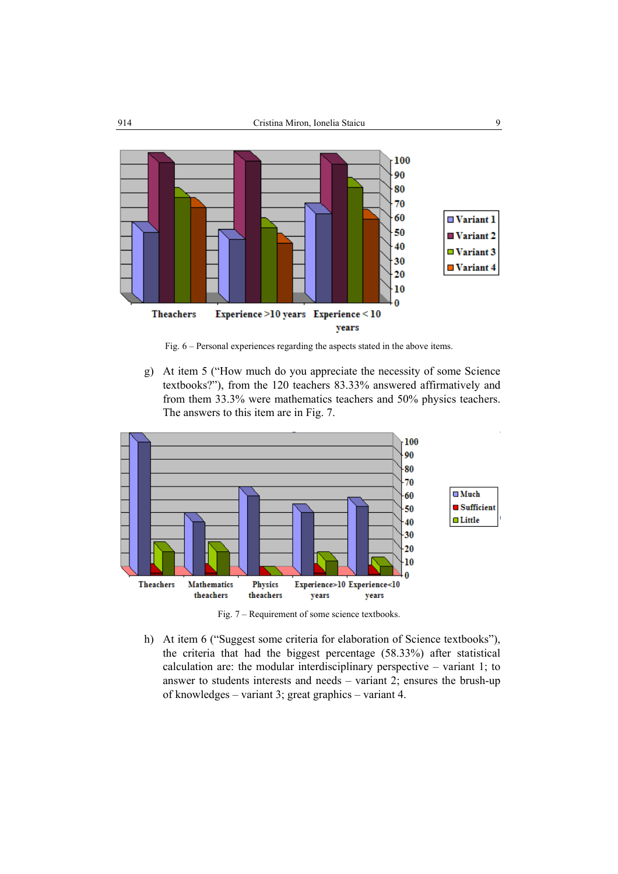

Fig. 6 – Personal experiences regarding the aspects stated in the above items.

g) At item 5 ("How much do you appreciate the necessity of some Science textbooks?"), from the 120 teachers 83.33% answered affirmatively and from them 33.3% were mathematics teachers and 50% physics teachers. The answers to this item are in Fig. 7.



Fig. 7 – Requirement of some science textbooks.

h) At item 6 ("Suggest some criteria for elaboration of Science textbooks"), the criteria that had the biggest percentage (58.33%) after statistical calculation are: the modular interdisciplinary perspective – variant 1; to answer to students interests and needs – variant 2; ensures the brush-up of knowledges – variant 3; great graphics – variant 4.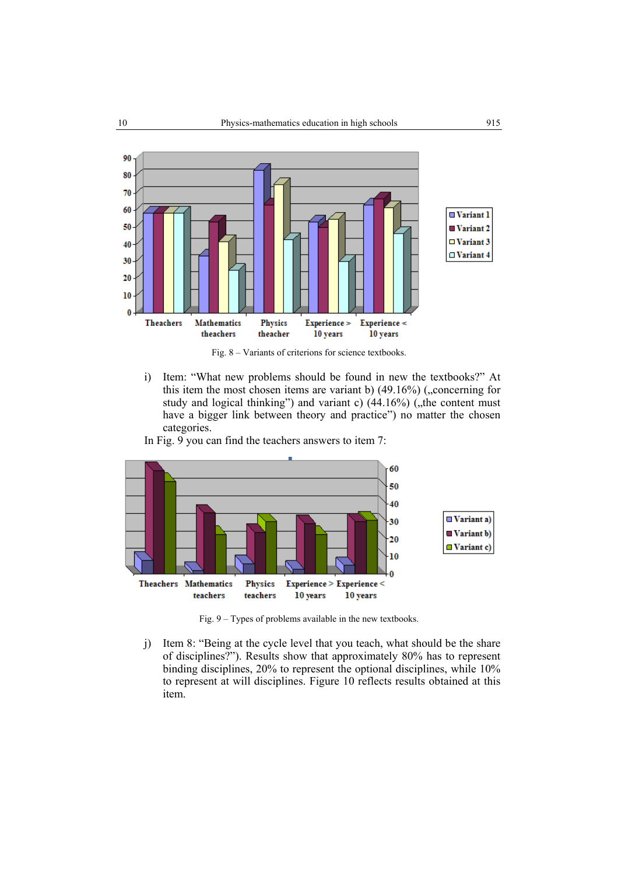

Fig. 8 – Variants of criterions for science textbooks.

i) Item: "What new problems should be found in new the textbooks?" At this item the most chosen items are variant b)  $(49.16\%)$  ("concerning for study and logical thinking") and variant c)  $(44.16\%)$  ("the content must have a bigger link between theory and practice") no matter the chosen categories.

In Fig. 9 you can find the teachers answers to item 7:



Fig. 9 – Types of problems available in the new textbooks.

j) Item 8: "Being at the cycle level that you teach, what should be the share of disciplines?"). Results show that approximately 80% has to represent binding disciplines, 20% to represent the optional disciplines, while 10% to represent at will disciplines. Figure 10 reflects results obtained at this item.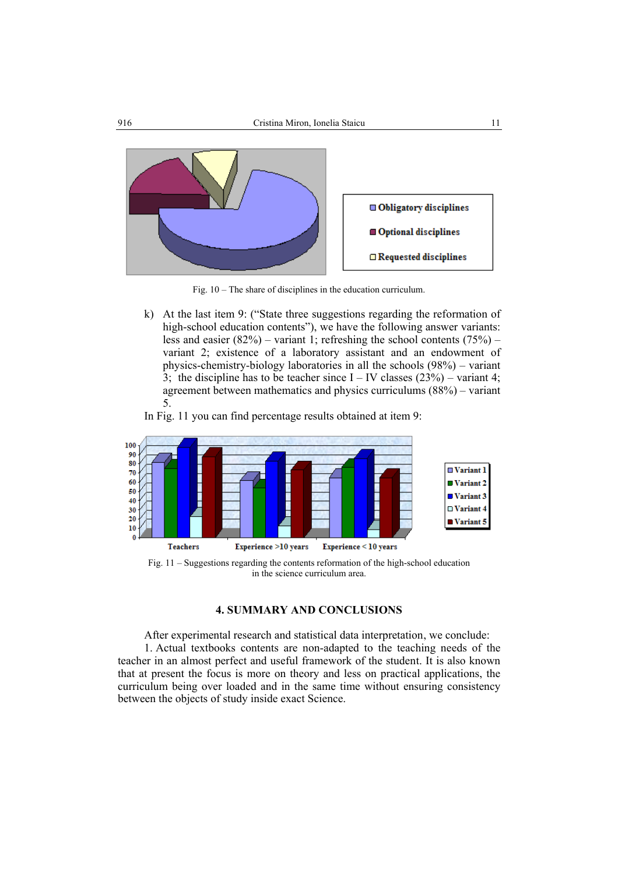

Fig. 10 – The share of disciplines in the education curriculum.

k) At the last item 9: ("State three suggestions regarding the reformation of high-school education contents"), we have the following answer variants: less and easier  $(82\%)$  – variant 1; refreshing the school contents  $(75\%)$  – variant 2; existence of a laboratory assistant and an endowment of physics-chemistry-biology laboratories in all the schools (98%) – variant 3; the discipline has to be teacher since  $I - IV$  classes (23%) – variant 4; agreement between mathematics and physics curriculums (88%) – variant 5.

In Fig. 11 you can find percentage results obtained at item 9:



#### **4. SUMMARY AND CONCLUSIONS**

After experimental research and statistical data interpretation, we conclude:

1. Actual textbooks contents are non-adapted to the teaching needs of the teacher in an almost perfect and useful framework of the student. It is also known that at present the focus is more on theory and less on practical applications, the curriculum being over loaded and in the same time without ensuring consistency between the objects of study inside exact Science.